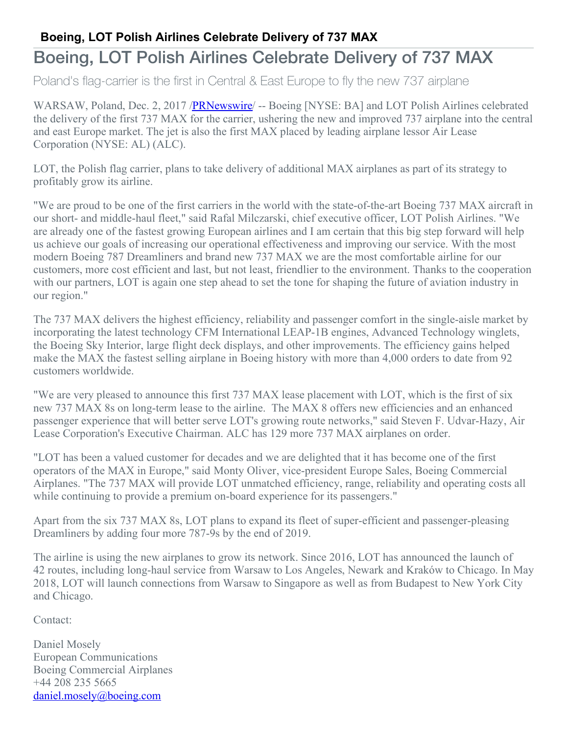## **Boeing, LOT Polish Airlines Celebrate Delivery of 737 MAX**

## Boeing, LOT Polish Airlines Celebrate Delivery of 737 MAX

Poland's flag-carrier is the first in Central & East Europe to fly the new 737 airplane

WARSAW, Poland, Dec. 2, 2017 [/PRNewswire](http://www.prnewswire.com/) -- Boeing [NYSE: BA] and LOT Polish Airlines celebrated the delivery of the first 737 MAX for the carrier, ushering the new and improved 737 airplane into the central and east Europe market. The jet is also the first MAX placed by leading airplane lessor Air Lease Corporation (NYSE: AL) (ALC).

LOT, the Polish flag carrier, plans to take delivery of additional MAX airplanes as part of its strategy to profitably grow its airline.

"We are proud to be one of the first carriers in the world with the state-of-the-art Boeing 737 MAX aircraft in our short- and middle-haul fleet," said Rafal Milczarski, chief executive officer, LOT Polish Airlines. "We are already one of the fastest growing European airlines and I am certain that this big step forward will help us achieve our goals of increasing our operational effectiveness and improving our service. With the most modern Boeing 787 Dreamliners and brand new 737 MAX we are the most comfortable airline for our customers, more cost efficient and last, but not least, friendlier to the environment. Thanks to the cooperation with our partners, LOT is again one step ahead to set the tone for shaping the future of aviation industry in our region."

The 737 MAX delivers the highest efficiency, reliability and passenger comfort in the single-aisle market by incorporating the latest technology CFM International LEAP-1B engines, Advanced Technology winglets, the Boeing Sky Interior, large flight deck displays, and other improvements. The efficiency gains helped make the MAX the fastest selling airplane in Boeing history with more than 4,000 orders to date from 92 customers worldwide.

"We are very pleased to announce this first 737 MAX lease placement with LOT, which is the first of six new 737 MAX 8s on long-term lease to the airline. The MAX 8 offers new efficiencies and an enhanced passenger experience that will better serve LOT's growing route networks," said Steven F. Udvar-Hazy, Air Lease Corporation's Executive Chairman. ALC has 129 more 737 MAX airplanes on order.

"LOT has been a valued customer for decades and we are delighted that it has become one of the first operators of the MAX in Europe," said Monty Oliver, vice-president Europe Sales, Boeing Commercial Airplanes. "The 737 MAX will provide LOT unmatched efficiency, range, reliability and operating costs all while continuing to provide a premium on-board experience for its passengers."

Apart from the six 737 MAX 8s, LOT plans to expand its fleet of super-efficient and passenger-pleasing Dreamliners by adding four more 787-9s by the end of 2019.

The airline is using the new airplanes to grow its network. Since 2016, LOT has announced the launch of 42 routes, including long-haul service from Warsaw to Los Angeles, Newark and Kraków to Chicago. In May 2018, LOT will launch connections from Warsaw to Singapore as well as from Budapest to New York City and Chicago.

Contact:

Daniel Mosely European Communications Boeing Commercial Airplanes +44 208 235 5665 [daniel.mosely@boeing.com](mailto:daniel.mosely@boeing.com)